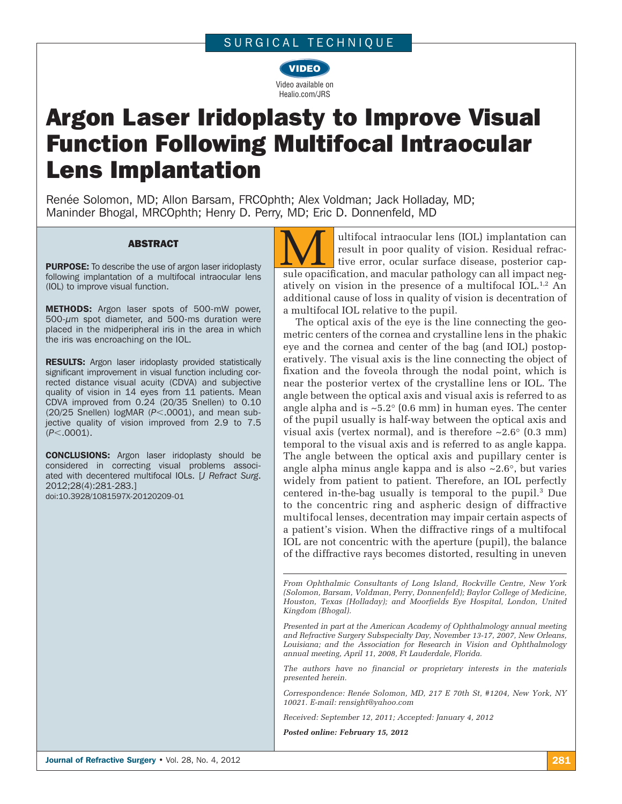## SURGICAL TECHNIQUE



# Argon Laser Iridoplasty to Improve Visual Function Following Multifocal Intraocular Lens Implantation

Renée Solomon, MD; Allon Barsam, FRCOphth; Alex Voldman; Jack Holladay, MD; Maninder Bhogal, MRCOphth; Henry D. Perry, MD; Eric D. Donnenfeld, MD

**ABSTRACT**<br>
PURPOSE: To describe the use of argon laser iridoplasty<br> **EXECUALITY AREAD FOR A SUPPOSE AND FORMATA CONSUMING** following implantation of a multifocal intraocular lens (IOL) to improve visual function.

**METHODS:** Argon laser spots of 500-mW power,  $500-\mu m$  spot diameter, and  $500\text{-}ms$  duration were placed in the midperipheral iris in the area in which the iris was encroaching on the IOL.

RESULTS: Argon laser iridoplasty provided statistically significant improvement in visual function including corrected distance visual acuity (CDVA) and subjective quality of vision in 14 eyes from 11 patients. Mean CDVA improved from 0.24 (20/35 Snellen) to 0.10 (20/25 Snellen) logMAR (P<.0001), and mean subjective quality of vision improved from 2.9 to 7.5 ( $P$  < .0001).

**CONCLUSIONS:** Argon laser iridoplasty should be considered in correcting visual problems associated with decentered multifocal IOLs. [*J Refract Surg*. 2012;28(4):281-283.]

doi:10.3928/1081597X-20120209-01

ultifocal intraocular lens (IOL) implantation can result in poor quality of vision. Residual refractive error, ocular surface disease, posterior capsule opacification, and macular pathology can all impact negatively on vision in the presence of a multifocal IOL.1,2 An additional cause of loss in quality of vision is decentration of a multifocal IOL relative to the pupil.

The optical axis of the eye is the line connecting the geometric centers of the cornea and crystalline lens in the phakic eye and the cornea and center of the bag (and IOL) postoperatively. The visual axis is the line connecting the object of fixation and the foveola through the nodal point, which is near the posterior vertex of the crystalline lens or IOL. The angle between the optical axis and visual axis is referred to as angle alpha and is  $\sim$ 5.2 $\degree$  (0.6 mm) in human eyes. The center of the pupil usually is half-way between the optical axis and visual axis (vertex normal), and is therefore  $\sim 2.6^{\circ}$  (0.3 mm) temporal to the visual axis and is referred to as angle kappa. The angle between the optical axis and pupillary center is angle alpha minus angle kappa and is also  $\sim 2.6^{\circ}$ , but varies widely from patient to patient. Therefore, an IOL perfectly centered in-the-bag usually is temporal to the pupil.3 Due to the concentric ring and aspheric design of diffractive multifocal lenses, decentration may impair certain aspects of a patient's vision. When the diffractive rings of a multifocal IOL are not concentric with the aperture (pupil), the balance of the diffractive rays becomes distorted, resulting in uneven

*From Ophthalmic Consultants of Long Island, Rockville Centre, New York (Solomon, Barsam, Voldman, Perry, Donnenfeld); Baylor College of Medicine, Houston, Texas (Holladay); and Moorfields Eye Hospital, London, United Kingdom (Bhogal).*

*Presented in part at the American Academy of Ophthalmology annual meeting and Refractive Surgery Subspecialty Day, November 13-17, 2007, New Orleans, Louisiana; and the Association for Research in Vision and Ophthalmology annual meeting, April 11, 2008, Ft Lauderdale, Florida.*

*The authors have no financial or proprietary interests in the materials presented herein.*

*Correspondence: Renée Solomon, MD, 217 E 70th St, #1204, New York, NY 10021. E-mail: rensight@yahoo.com*

*Received: September 12, 2011; Accepted: January 4, 2012*

*Posted online: February 15, 2012*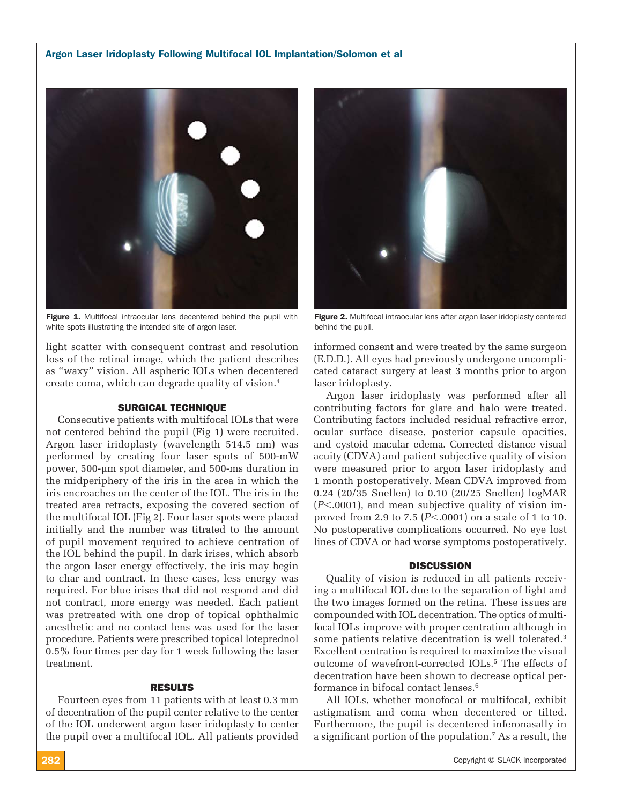#### Argon Laser Iridoplasty Following Multifocal IOL Implantation/Solomon et al



Figure 1. Multifocal intraocular lens decentered behind the pupil with white spots illustrating the intended site of argon laser.

light scatter with consequent contrast and resolution loss of the retinal image, which the patient describes as "waxy" vision. All aspheric IOLs when decentered create coma, which can degrade quality of vision.4

#### SURGICAL TECHNIQUE

Consecutive patients with multifocal IOLs that were not centered behind the pupil (Fig 1) were recruited. Argon laser iridoplasty (wavelength 514.5 nm) was performed by creating four laser spots of 500-mW power, 500-μm spot diameter, and 500-ms duration in the midperiphery of the iris in the area in which the iris encroaches on the center of the IOL. The iris in the treated area retracts, exposing the covered section of the multifocal IOL (Fig 2). Four laser spots were placed initially and the number was titrated to the amount of pupil movement required to achieve centration of the IOL behind the pupil. In dark irises, which absorb the argon laser energy effectively, the iris may begin to char and contract. In these cases, less energy was required. For blue irises that did not respond and did not contract, more energy was needed. Each patient was pretreated with one drop of topical ophthalmic anesthetic and no contact lens was used for the laser procedure. Patients were prescribed topical loteprednol 0.5% four times per day for 1 week following the laser treatment.

### RESULTS

Fourteen eyes from 11 patients with at least 0.3 mm of decentration of the pupil center relative to the center of the IOL underwent argon laser iridoplasty to center the pupil over a multifocal IOL. All patients provided



Figure 2. Multifocal intraocular lens after argon laser iridoplasty centered behind the pupil.

informed consent and were treated by the same surgeon (E.D.D.). All eyes had previously undergone uncomplicated cataract surgery at least 3 months prior to argon laser iridoplasty.

Argon laser iridoplasty was performed after all contributing factors for glare and halo were treated. Contributing factors included residual refractive error, ocular surface disease, posterior capsule opacities, and cystoid macular edema. Corrected distance visual acuity (CDVA) and patient subjective quality of vision were measured prior to argon laser iridoplasty and 1 month postoperatively. Mean CDVA improved from 0.24 (20/35 Snellen) to 0.10 (20/25 Snellen) logMAR (*P*-.0001), and mean subjective quality of vision improved from 2.9 to 7.5 (*P*-.0001) on a scale of 1 to 10. No postoperative complications occurred. No eye lost lines of CDVA or had worse symptoms postoperatively.

#### **DISCUSSION**

Quality of vision is reduced in all patients receiving a multifocal IOL due to the separation of light and the two images formed on the retina. These issues are compounded with IOL decentration. The optics of multifocal IOLs improve with proper centration although in some patients relative decentration is well tolerated.<sup>3</sup> Excellent centration is required to maximize the visual outcome of wavefront-corrected IOLs.<sup>5</sup> The effects of decentration have been shown to decrease optical performance in bifocal contact lenses.6

All IOLs, whether monofocal or multifocal, exhibit astigmatism and coma when decentered or tilted. Furthermore, the pupil is decentered inferonasally in a significant portion of the population.<sup>7</sup> As a result, the